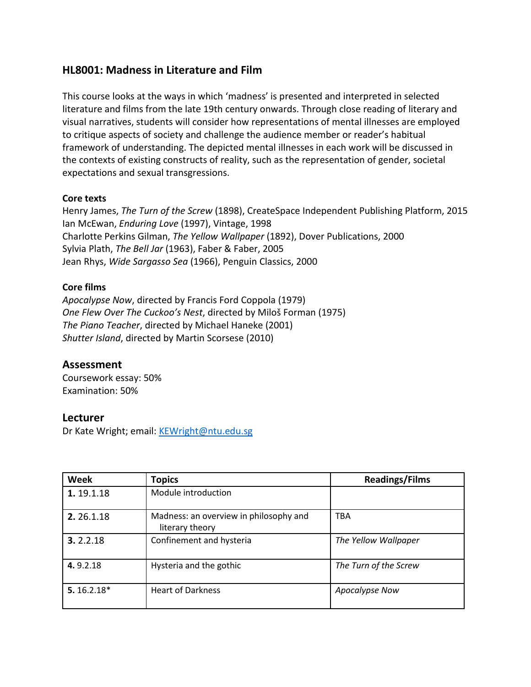# **HL8001: Madness in Literature and Film**

This course looks at the ways in which 'madness' is presented and interpreted in selected literature and films from the late 19th century onwards. Through close reading of literary and visual narratives, students will consider how representations of mental illnesses are employed to critique aspects of society and challenge the audience member or reader's habitual framework of understanding. The depicted mental illnesses in each work will be discussed in the contexts of existing constructs of reality, such as the representation of gender, societal expectations and sexual transgressions.

### **Core texts**

Henry James, *The Turn of the Screw* (1898), CreateSpace Independent Publishing Platform, 2015 Ian McEwan, *Enduring Love* (1997), Vintage, 1998 Charlotte Perkins Gilman, *The Yellow Wallpaper* (1892), Dover Publications, 2000 Sylvia Plath, *The Bell Jar* (1963), Faber & Faber, 2005 Jean Rhys, *Wide Sargasso Sea* (1966), Penguin Classics, 2000

### **Core films**

*Apocalypse Now*, directed by Francis Ford Coppola (1979) *One Flew Over The Cuckoo's Nest*, directed by Miloš Forman (1975) *The Piano Teacher*, directed by Michael Haneke (2001) *Shutter Island*, directed by Martin Scorsese (2010)

# **Assessment**

Coursework essay: 50% Examination: 50%

# **Lecturer**

Dr Kate Wright; email: [KEWright@ntu.edu.sg](mailto:KEWright@ntu.edu.sg)

| <b>Week</b>  | <b>Topics</b>                                             | <b>Readings/Films</b> |
|--------------|-----------------------------------------------------------|-----------------------|
| 1.19.1.18    | Module introduction                                       |                       |
| 2.26.1.18    | Madness: an overview in philosophy and<br>literary theory | TBA                   |
| 3.2.2.18     | Confinement and hysteria                                  | The Yellow Wallpaper  |
| 4.9.2.18     | Hysteria and the gothic                                   | The Turn of the Screw |
| $5.16.2.18*$ | <b>Heart of Darkness</b>                                  | Apocalypse Now        |